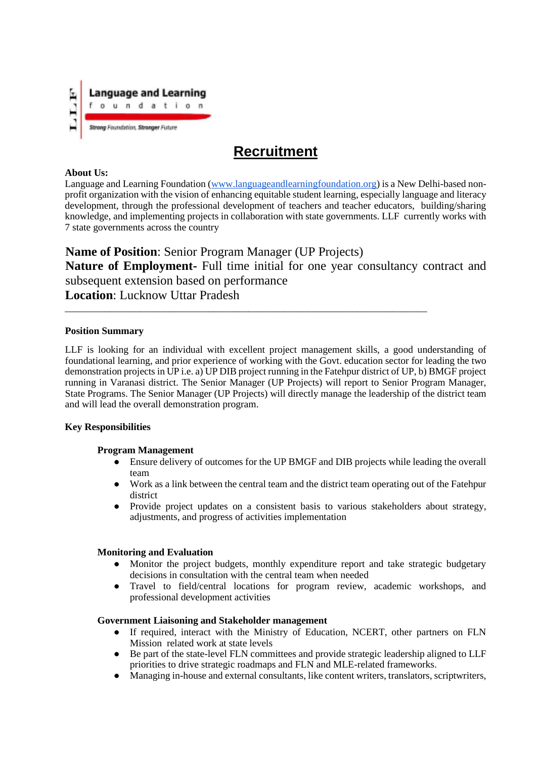

# **Recruitment**

#### **About Us:**

Language and Learning Foundation (www.languageandlearningfoundation.org) is a New Delhi-based nonprofit organization with the vision of enhancing equitable student learning, especially language and literacy development, through the professional development of teachers and teacher educators, building/sharing knowledge, and implementing projects in collaboration with state governments. LLF currently works with 7 state governments across the country

**Name of Position**: Senior Program Manager (UP Projects) **Nature of Employment-** Full time initial for one year consultancy contract and subsequent extension based on performance **Location**: Lucknow Uttar Pradesh

\_\_\_\_\_\_\_\_\_\_\_\_\_\_\_\_\_\_\_\_\_\_\_\_\_\_\_\_\_\_\_\_\_\_\_\_\_\_\_\_\_\_\_\_\_\_\_\_\_\_\_\_\_\_\_\_\_\_\_\_\_\_\_\_\_\_\_\_\_\_\_\_\_

### **Position Summary**

LLF is looking for an individual with excellent project management skills, a good understanding of foundational learning, and prior experience of working with the Govt. education sector for leading the two demonstration projects in UP i.e. a) UP DIB project running in the Fatehpur district of UP, b) BMGF project running in Varanasi district. The Senior Manager (UP Projects) will report to Senior Program Manager, State Programs. The Senior Manager (UP Projects) will directly manage the leadership of the district team and will lead the overall demonstration program.

## **Key Responsibilities**

#### **Program Management**

- Ensure delivery of outcomes for the UP BMGF and DIB projects while leading the overall team
- Work as a link between the central team and the district team operating out of the Fatehpur district
- Provide project updates on a consistent basis to various stakeholders about strategy, adjustments, and progress of activities implementation

#### **Monitoring and Evaluation**

- Monitor the project budgets, monthly expenditure report and take strategic budgetary decisions in consultation with the central team when needed
- Travel to field/central locations for program review, academic workshops, and professional development activities

#### **Government Liaisoning and Stakeholder management**

- If required, interact with the Ministry of Education, NCERT, other partners on FLN Mission related work at state levels
- Be part of the state-level FLN committees and provide strategic leadership aligned to LLF priorities to drive strategic roadmaps and FLN and MLE-related frameworks.
- Managing in-house and external consultants, like content writers, translators, scriptwriters,